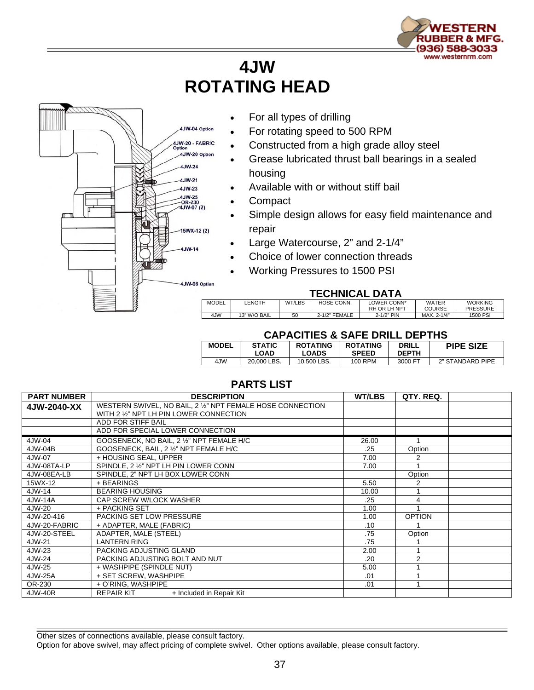

## **4JW ROTATING HEAD**



- For all types of drilling
- For rotating speed to 500 RPM
- Constructed from a high grade alloy steel
- Grease lubricated thrust ball bearings in a sealed housing
- Available with or without stiff bail
- Compact
- Simple design allows for easy field maintenance and repair
- Large Watercourse, 2" and 2-1/4"
- Choice of lower connection threads
- Working Pressures to 1500 PSI

## **TECHNICAL DATA**

| . <i>. .</i> . |              |        |               |              |               |                 |  |  |  |  |  |
|----------------|--------------|--------|---------------|--------------|---------------|-----------------|--|--|--|--|--|
| MODEL          | LENGTH       | WT/LBS | HOSE CONN.    | LOWER CONN*  | <b>WATER</b>  | <b>WORKING</b>  |  |  |  |  |  |
|                |              |        |               | RH OR LH NPT | <b>COURSE</b> | <b>PRESSURE</b> |  |  |  |  |  |
| 4JW            | 13" W/O BAIL | 50     | 2-1/2" FEMALE | 2-1/2" PIN   | MAX. 2-1/4"   | 1500 PSI        |  |  |  |  |  |

## **CAPACITIES & SAFE DRILL DEPTHS**

| <b>MODEL</b> | <b>STATIC</b><br>LOAD | <b>ROTATING</b><br>LOADS | <b>ROTATING</b><br><b>SPEED</b> | <b>DRILL</b><br><b>DEPTH</b> | <b>PIPE SIZE</b> |  |  |  |  |  |
|--------------|-----------------------|--------------------------|---------------------------------|------------------------------|------------------|--|--|--|--|--|
| 4JW          | 20.000 LBS.           | 10.500 LBS.              | 100 RPM                         | 3000 FT                      | 2" STANDARD PIPE |  |  |  |  |  |

## **PARTS LIST**

| <b>PART NUMBER</b> | <b>DESCRIPTION</b>                                                                                    | <b>WT/LBS</b> | QTY. REQ.      |  |
|--------------------|-------------------------------------------------------------------------------------------------------|---------------|----------------|--|
| 4JW-2040-XX        | WESTERN SWIVEL, NO BAIL, 2 1/2" NPT FEMALE HOSE CONNECTION<br>WITH 2 1/2" NPT LH PIN LOWER CONNECTION |               |                |  |
|                    | ADD FOR STIFF BAIL                                                                                    |               |                |  |
|                    | ADD FOR SPECIAL LOWER CONNECTION                                                                      |               |                |  |
| 4JW-04             | GOOSENECK, NO BAIL, 2 1/2" NPT FEMALE H/C                                                             | 26.00         |                |  |
| 4JW-04B            | GOOSENECK, BAIL, 2 1/2" NPT FEMALE H/C                                                                | .25           | Option         |  |
| 4JW-07             | + HOUSING SEAL, UPPER                                                                                 | 7.00          | 2              |  |
| 4JW-08TA-LP        | SPINDLE, 2 1/2" NPT LH PIN LOWER CONN                                                                 | 7.00          |                |  |
| 4JW-08EA-LB        | SPINDLE, 2" NPT LH BOX LOWER CONN                                                                     |               | Option         |  |
| 15WX-12            | + BEARINGS                                                                                            | 5.50          | 2              |  |
| 4JW-14             | <b>BEARING HOUSING</b>                                                                                | 10.00         |                |  |
| 4JW-14A            | CAP SCREW W/LOCK WASHER                                                                               | .25           | 4              |  |
| 4JW-20             | + PACKING SET                                                                                         | 1.00          |                |  |
| 4JW-20-416         | PACKING SET LOW PRESSURE                                                                              | 1.00          | <b>OPTION</b>  |  |
| 4JW-20-FABRIC      | + ADAPTER, MALE (FABRIC)                                                                              | .10           |                |  |
| 4JW-20-STEEL       | ADAPTER, MALE (STEEL)                                                                                 | .75           | Option         |  |
| 4JW-21             | <b>LANTERN RING</b>                                                                                   | .75           |                |  |
| 4JW-23             | PACKING ADJUSTING GLAND                                                                               | 2.00          |                |  |
| 4JW-24             | PACKING ADJUSTING BOLT AND NUT                                                                        | .20           | $\overline{2}$ |  |
| 4JW-25             | + WASHPIPE (SPINDLE NUT)                                                                              | 5.00          |                |  |
| 4JW-25A            | + SET SCREW, WASHPIPE                                                                                 | .01           |                |  |
| OR-230             | + O'RING. WASHPIPE                                                                                    | .01           |                |  |
| 4JW-40R            | <b>REPAIR KIT</b><br>+ Included in Repair Kit                                                         |               |                |  |

Other sizes of connections available, please consult factory.

Option for above swivel, may affect pricing of complete swivel. Other options available, please consult factory.